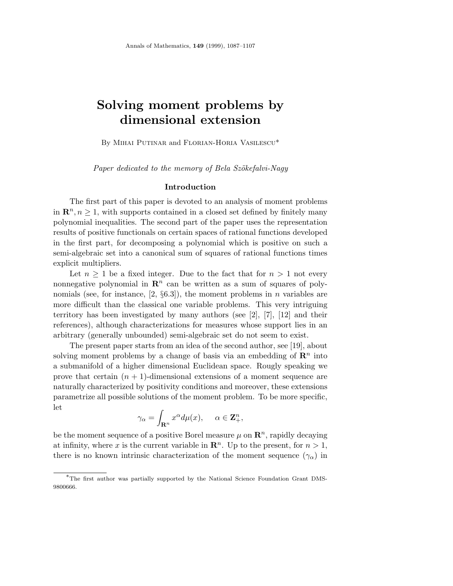# **Solving moment problems by dimensional extension**

By Mihai Putinar and Florian-Horia Vasilescu\*

Paper dedicated to the memory of Bela Szökefalvi-Nagy

# **Introduction**

The first part of this paper is devoted to an analysis of moment problems in  $\mathbb{R}^n, n \geq 1$ , with supports contained in a closed set defined by finitely many polynomial inequalities. The second part of the paper uses the representation results of positive functionals on certain spaces of rational functions developed in the first part, for decomposing a polynomial which is positive on such a semi-algebraic set into a canonical sum of squares of rational functions times explicit multipliers.

Let  $n \geq 1$  be a fixed integer. Due to the fact that for  $n \geq 1$  not every nonnegative polynomial in  $\mathbb{R}^n$  can be written as a sum of squares of polynomials (see, for instance, [2, §6.3]), the moment problems in *n* variables are more difficult than the classical one variable problems. This very intriguing territory has been investigated by many authors (see  $\lbrack 2 \rbrack$ ,  $\lbrack 7 \rbrack$ ,  $\lbrack 12 \rbrack$  and their references), although characterizations for measures whose support lies in an arbitrary (generally unbounded) semi-algebraic set do not seem to exist.

The present paper starts from an idea of the second author, see [19], about solving moment problems by a change of basis via an embedding of  $\mathbb{R}^n$  into a submanifold of a higher dimensional Euclidean space. Rougly speaking we prove that certain  $(n + 1)$ -dimensional extensions of a moment sequence are naturally characterized by positivity conditions and moreover, these extensions parametrize all possible solutions of the moment problem. To be more specific, let

$$
\gamma_{\alpha} = \int_{\mathbf{R}^n} x^{\alpha} d\mu(x), \quad \alpha \in \mathbf{Z}_+^n,
$$

be the moment sequence of a positive Borel measure  $\mu$  on  $\mathbb{R}^n$ , rapidly decaying at infinity, where x is the current variable in  $\mathbb{R}^n$ . Up to the present, for  $n > 1$ , there is no known intrinsic characterization of the moment sequence  $(\gamma_{\alpha})$  in

<sup>∗</sup>The first author was partially supported by the National Science Foundation Grant DMS-9800666.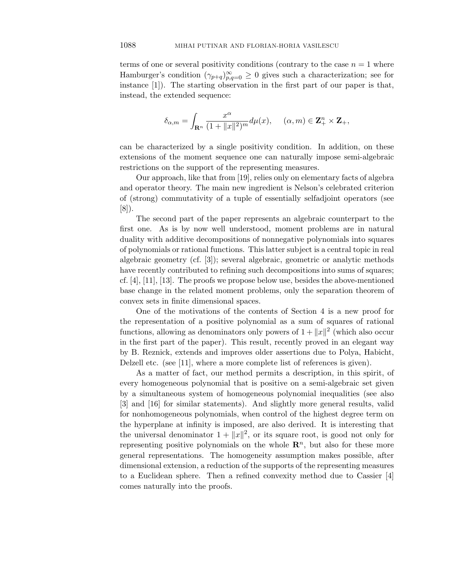terms of one or several positivity conditions (contrary to the case  $n = 1$  where Hamburger's condition  $(\gamma_{p+q})_{p,q=0}^{\infty} \geq 0$  gives such a characterization; see for instance [1]). The starting observation in the first part of our paper is that, instead, the extended sequence:

$$
\delta_{\alpha,m}=\int_{\mathbf{R}^n}\frac{x^\alpha}{(1+\|x\|^2)^m}d\mu(x),\quad \ (\alpha,m)\in\mathbf{Z}_+^n\times \mathbf{Z}_+,
$$

can be characterized by a single positivity condition. In addition, on these extensions of the moment sequence one can naturally impose semi-algebraic restrictions on the support of the representing measures.

Our approach, like that from [19], relies only on elementary facts of algebra and operator theory. The main new ingredient is Nelson's celebrated criterion of (strong) commutativity of a tuple of essentially selfadjoint operators (see [8]).

The second part of the paper represents an algebraic counterpart to the first one. As is by now well understood, moment problems are in natural duality with additive decompositions of nonnegative polynomials into squares of polynomials or rational functions. This latter subject is a central topic in real algebraic geometry (cf. [3]); several algebraic, geometric or analytic methods have recently contributed to refining such decompositions into sums of squares; cf. [4], [11], [13]. The proofs we propose below use, besides the above-mentioned base change in the related moment problems, only the separation theorem of convex sets in finite dimensional spaces.

One of the motivations of the contents of Section 4 is a new proof for the representation of a positive polynomial as a sum of squares of rational functions, allowing as denominators only powers of  $1 + ||x||^2$  (which also occur in the first part of the paper). This result, recently proved in an elegant way by B. Reznick, extends and improves older assertions due to Polya, Habicht, Delzell etc. (see [11], where a more complete list of references is given).

As a matter of fact, our method permits a description, in this spirit, of every homogeneous polynomial that is positive on a semi-algebraic set given by a simultaneous system of homogeneous polynomial inequalities (see also [3] and [16] for similar statements). And slightly more general results, valid for nonhomogeneous polynomials, when control of the highest degree term on the hyperplane at infinity is imposed, are also derived. It is interesting that the universal denominator  $1 + ||x||^2$ , or its square root, is good not only for representing positive polynomials on the whole  $\mathbb{R}^n$ , but also for these more general representations. The homogeneity assumption makes possible, after dimensional extension, a reduction of the supports of the representing measures to a Euclidean sphere. Then a refined convexity method due to Cassier [4] comes naturally into the proofs.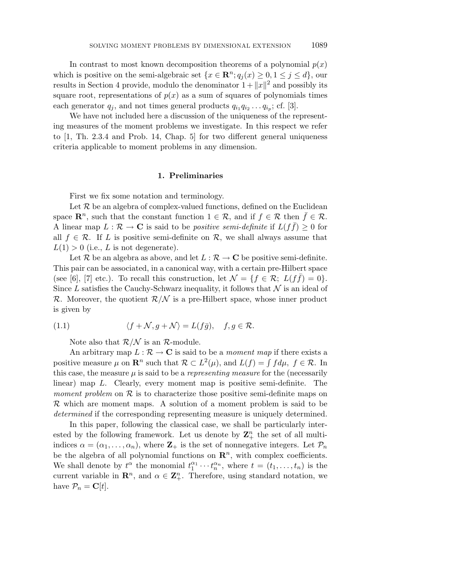In contrast to most known decomposition theorems of a polynomial  $p(x)$ which is positive on the semi-algebraic set  $\{x \in \mathbb{R}^n; q_i(x) \geq 0, 1 \leq j \leq d\}$ , our results in Section 4 provide, modulo the denominator  $1+\|x\|^2$  and possibly its square root, representations of  $p(x)$  as a sum of squares of polynomials times each generator  $q_i$ , and not times general products  $q_{i_1} q_{i_2} \ldots q_{i_n}$ ; cf. [3].

We have not included here a discussion of the uniqueness of the representing measures of the moment problems we investigate. In this respect we refer to [1, Th. 2.3.4 and Prob. 14, Chap. 5] for two different general uniqueness criteria applicable to moment problems in any dimension.

## **1. Preliminaries**

First we fix some notation and terminology.

Let  $\mathcal R$  be an algebra of complex-valued functions, defined on the Euclidean space  $\mathbb{R}^n$ , such that the constant function  $1 \in \mathcal{R}$ , and if  $f \in \mathcal{R}$  then  $\bar{f} \in \mathcal{R}$ . A linear map  $L : \mathcal{R} \to \mathbf{C}$  is said to be *positive semi-definite* if  $L(f\bar{f}) \geq 0$  for all  $f \in \mathcal{R}$ . If *L* is positive semi-definite on  $\mathcal{R}$ , we shall always assume that  $L(1) > 0$  (i.e., *L* is not degenerate).

Let R be an algebra as above, and let  $L : \mathcal{R} \to \mathbb{C}$  be positive semi-definite. This pair can be associated, in a canonical way, with a certain pre-Hilbert space (see [6], [7] etc.). To recall this construction, let  $\mathcal{N} = \{f \in \mathcal{R}; L(f\bar{f})=0\}.$ Since *L* satisfies the Cauchy-Schwarz inequality, it follows that  $N$  is an ideal of  $\mathcal{R}$ . Moreover, the quotient  $\mathcal{R}/\mathcal{N}$  is a pre-Hilbert space, whose inner product is given by

(1.1) 
$$
\langle f + \mathcal{N}, g + \mathcal{N} \rangle = L(f\bar{g}), \quad f, g \in \mathcal{R}.
$$

Note also that  $R/N$  is an R-module.

An arbitrary map  $L : \mathcal{R} \to \mathbf{C}$  is said to be a *moment map* if there exists a positive measure  $\mu$  on  $\mathbb{R}^n$  such that  $\mathcal{R} \subset L^2(\mu)$ , and  $L(f) = \int f d\mu$ ,  $f \in \mathcal{R}$ . In this case, the measure  $\mu$  is said to be a *representing measure* for the (necessarily linear) map *L*. Clearly, every moment map is positive semi-definite. The moment problem on  $\mathcal R$  is to characterize those positive semi-definite maps on R which are moment maps. A solution of a moment problem is said to be determined if the corresponding representing measure is uniquely determined.

In this paper, following the classical case, we shall be particularly interested by the following framework. Let us denote by  $\mathbb{Z}_{+}^{n}$  the set of all multiindices  $\alpha = (\alpha_1, \ldots, \alpha_n)$ , where  $\mathbf{Z}_+$  is the set of nonnegative integers. Let  $\mathcal{P}_n$ be the algebra of all polynomial functions on  $\mathbb{R}^n$ , with complex coefficients. We shall denote by  $t^{\alpha}$  the monomial  $t_1^{\alpha_1} \cdots t_n^{\alpha_n}$ , where  $t = (t_1, \ldots, t_n)$  is the current variable in  $\mathbb{R}^n$ , and  $\alpha \in \mathbb{Z}_+^n$ . Therefore, using standard notation, we have  $\mathcal{P}_n = \mathbf{C}[t]$ .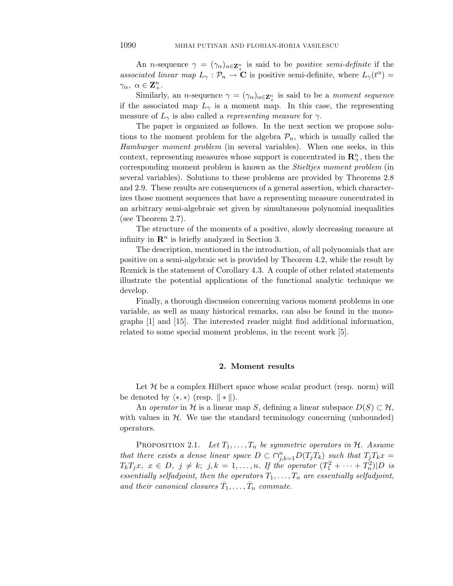An *n*-sequence  $\gamma = (\gamma_{\alpha})_{\alpha \in \mathbb{Z}_{+}^{n}}$  is said to be *positive semi-definite* if the associated linear map  $L_{\gamma}: \mathcal{P}_n \to \mathbf{C}$  is positive semi-definite, where  $L_{\gamma}(t^{\alpha}) =$  $\gamma_{\alpha}$ *,*  $\alpha \in \mathbf{Z}_{+}^{n}$ .

Similarly, an *n*-sequence  $\gamma = (\gamma_{\alpha})_{\alpha \in \mathbb{Z}_{+}^{n}}$  is said to be a *moment sequence* if the associated map  $L_{\gamma}$  is a moment map. In this case, the representing measure of  $L_{\gamma}$  is also called a *representing measure* for  $\gamma$ .

The paper is organized as follows. In the next section we propose solutions to the moment problem for the algebra  $P_n$ , which is usually called the Hamburger moment problem (in several variables). When one seeks, in this context, representing measures whose support is concentrated in  $\mathbb{R}^n_+$ , then the corresponding moment problem is known as the Stieltjes moment problem (in several variables). Solutions to these problems are provided by Theorems 2.8 and 2.9. These results are consequences of a general assertion, which characterizes those moment sequences that have a representing measure concentrated in an arbitrary semi-algebraic set given by simultaneous polynomial inequalities (see Theorem 2.7).

The structure of the moments of a positive, slowly decreasing measure at infinity in  $\mathbb{R}^n$  is briefly analyzed in Section 3.

The description, mentioned in the introduction, of all polynomials that are positive on a semi-algebraic set is provided by Theorem 4.2, while the result by Reznick is the statement of Corollary 4.3. A couple of other related statements illustrate the potential applications of the functional analytic technique we develop.

Finally, a thorough discussion concerning various moment problems in one variable, as well as many historical remarks, can also be found in the monographs [1] and [15]. The interested reader might find additional information, related to some special moment problems, in the recent work [5].

### **2. Moment results**

Let  $\mathcal H$  be a complex Hilbert space whose scalar product (resp. norm) will be denoted by  $\langle *, *\rangle$  (resp.  $\|\cdot\|$ ).

An *operator* in H is a linear map *S*, defining a linear subspace  $D(S) \subset H$ , with values in  $H$ . We use the standard terminology concerning (unbounded) operators.

PROPOSITION 2.1. Let  $T_1, \ldots, T_n$  be symmetric operators in  $H$ . Assume that there exists a dense linear space  $D \subset \bigcap_{j,k=1}^n D(T_jT_k)$  such that  $T_jT_kx =$  $T_k T_j x, \; x \in D, \; j \neq k; \; j, k = 1, \ldots, n$ . If the operator  $(T_1^2 + \cdots + T_n^2) | D$  is essentially selfadjoint, then the operators  $T_1, \ldots, T_n$  are essentially selfadjoint, and their canonical closures  $\bar{T}_1, \ldots, \bar{T}_n$  commute.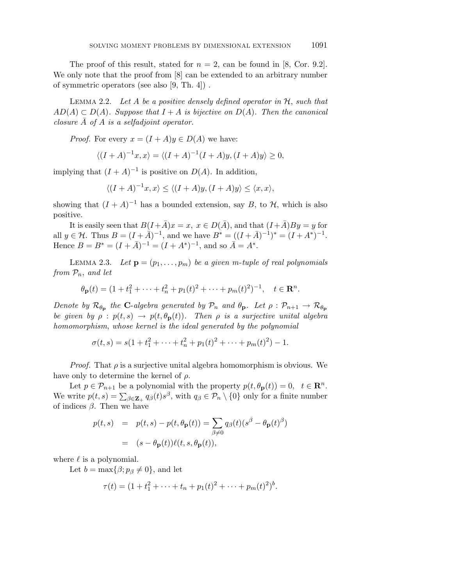The proof of this result, stated for  $n = 2$ , can be found in [8, Cor. 9.2]. We only note that the proof from  $[8]$  can be extended to an arbitrary number of symmetric operators (see also [9, Th. 4]) .

LEMMA 2.2. Let  $A$  be a positive densely defined operator in  $H$ , such that  $AD(A) \subset D(A)$ . Suppose that  $I + A$  is bijective on  $D(A)$ . Then the canonical closure  $\overline{A}$  of  $A$  is a selfadjoint operator.

*Proof.* For every  $x = (I + A)y \in D(A)$  we have:

$$
\langle (I + A)^{-1}x, x \rangle = \langle (I + A)^{-1}(I + A)y, (I + A)y \rangle \ge 0,
$$

implying that  $(I + A)^{-1}$  is positive on  $D(A)$ . In addition,

$$
\langle (I + A)^{-1}x, x \rangle \le \langle (I + A)y, (I + A)y \rangle \le \langle x, x \rangle,
$$

showing that  $(I + A)^{-1}$  has a bounded extension, say *B*, to *H*, which is also positive.

It is easily seen that  $B(I+\overline{A})x=x, x\in D(\overline{A})$ , and that  $(I+\overline{A})By=y$  for all  $y \in \mathcal{H}$ . Thus  $B = (I + \bar{A})^{-1}$ , and we have  $B^* = ((I + \bar{A})^{-1})^* = (I + A^*)^{-1}$ . Hence  $B = B^* = (I + \overline{A})^{-1} = (I + A^*)^{-1}$ , and so  $\overline{A} = A^*$ .

LEMMA 2.3. Let  $\mathbf{p} = (p_1, \ldots, p_m)$  be a given m-tuple of real polynomials from P*n*, and let

$$
\theta_{\mathbf{p}}(t) = (1 + t_1^2 + \dots + t_n^2 + p_1(t)^2 + \dots + p_m(t)^2)^{-1}, \quad t \in \mathbf{R}^n.
$$

Denote by  $\mathcal{R}_{\theta_{p}}$  the **C**-algebra generated by  $\mathcal{P}_{n}$  and  $\theta_{p}$ . Let  $\rho : \mathcal{P}_{n+1} \to \mathcal{R}_{\theta_{p}}$ be given by  $\rho$  :  $p(t, s) \rightarrow p(t, \theta_{\mathbf{p}}(t))$ . Then  $\rho$  is a surjective unital algebra homomorphism, whose kernel is the ideal generated by the polynomial

$$
\sigma(t,s) = s(1+t_1^2 + \dots + t_n^2 + p_1(t)^2 + \dots + p_m(t)^2) - 1.
$$

*Proof.* That  $\rho$  is a surjective unital algebra homomorphism is obvious. We have only to determine the kernel of *ρ*.

Let  $p \in \mathcal{P}_{n+1}$  be a polynomial with the property  $p(t, \theta_{\mathbf{p}}(t)) = 0$ ,  $t \in \mathbb{R}^n$ . We write  $p(t, s) = \sum_{\beta \in \mathbf{Z}_+} q_{\beta}(t) s^{\beta}$ , with  $q_{\beta} \in \mathcal{P}_n \setminus \{0\}$  only for a finite number of indices  $\beta$ . Then we have

$$
p(t,s) = p(t,s) - p(t, \theta_{\mathbf{p}}(t)) = \sum_{\beta \neq 0} q_{\beta}(t) (s^{\beta} - \theta_{\mathbf{p}}(t)^{\beta})
$$

$$
= (s - \theta_{\mathbf{p}}(t)) \ell(t, s, \theta_{\mathbf{p}}(t)),
$$

where  $\ell$  is a polynomial.

Let  $b = \max{\beta; p_{\beta} \neq 0}$ , and let

$$
\tau(t) = (1 + t_1^2 + \dots + t_n + p_1(t)^2 + \dots + p_m(t)^2)^b.
$$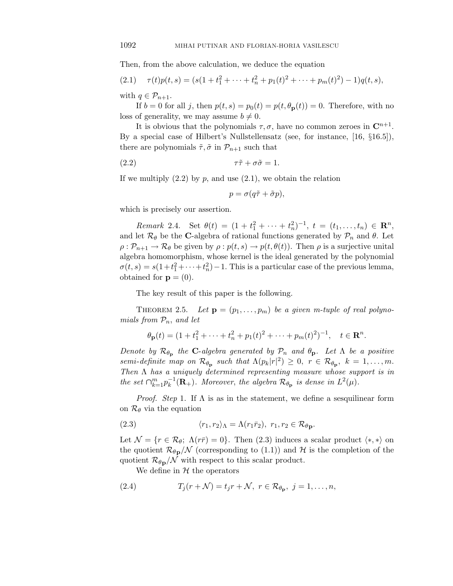Then, from the above calculation, we deduce the equation

(2.1) 
$$
\tau(t)p(t,s) = (s(1+t_1^2+\cdots+t_n^2+p_1(t)^2+\cdots+p_m(t)^2)-1)q(t,s),
$$

with  $q \in \mathcal{P}_{n+1}$ .

If  $b = 0$  for all *j*, then  $p(t, s) = p_0(t) = p(t, \theta_{\mathbf{p}}(t)) = 0$ . Therefore, with no loss of generality, we may assume  $b \neq 0$ .

It is obvious that the polynomials  $\tau$ ,  $\sigma$ , have no common zeroes in  $\mathbb{C}^{n+1}$ . By a special case of Hilbert's Nullstellensatz (see, for instance, [16, §16.5]), there are polynomials  $\tilde{\tau}$ ,  $\tilde{\sigma}$  in  $\mathcal{P}_{n+1}$  such that

(2*.*2) *τ τ*˜ + *σσ*˜ = 1*.*

If we multiply  $(2.2)$  by  $p$ , and use  $(2.1)$ , we obtain the relation

$$
p = \sigma(q\tilde{\tau} + \tilde{\sigma}p),
$$

which is precisely our assertion.

 $Remark \ 2.4. \ \ \text{Set} \ \theta(t) = (1 + t_1^2 + \cdots + t_n^2)^{-1}, \ t = (t_1, \ldots, t_n) \in \mathbb{R}^n,$ and let  $\mathcal{R}_{\theta}$  be the **C**-algebra of rational functions generated by  $\mathcal{P}_n$  and  $\theta$ . Let  $\rho: \mathcal{P}_{n+1} \to \mathcal{R}_{\theta}$  be given by  $\rho: p(t, s) \to p(t, \theta(t))$ . Then  $\rho$  is a surjective unital algebra homomorphism, whose kernel is the ideal generated by the polynomial  $\sigma(t,s) = s(1+t_1^2+\cdots+t_n^2) - 1$ . This is a particular case of the previous lemma, obtained for  $\mathbf{p} = (0)$ .

The key result of this paper is the following.

THEOREM 2.5. Let  $\mathbf{p} = (p_1, \ldots, p_m)$  be a given m-tuple of real polynomials from  $P_n$ , and let

$$
\theta_{\mathbf{p}}(t) = (1 + t_1^2 + \dots + t_n^2 + p_1(t)^2 + \dots + p_m(t)^2)^{-1}, \quad t \in \mathbf{R}^n.
$$

Denote by  $\mathcal{R}_{\theta_{p}}$  the **C**-algebra generated by  $\mathcal{P}_{n}$  and  $\theta_{p}$ . Let  $\Lambda$  be a positive semi-definite map on  $\mathcal{R}_{\theta_{\mathbf{p}}}$  such that  $\Lambda(p_k|r|^2) \geq 0$ ,  $r \in \mathcal{R}_{\theta_{\mathbf{p}}}, k = 1, \ldots, m$ . Then  $\Lambda$  has a uniquely determined representing measure whose support is in the set  $\bigcap_{k=1}^{m} p_k^{-1}(\mathbf{R}_+)$ . Moreover, the algebra  $\mathcal{R}_{\theta_{\mathbf{p}}}$  is dense in  $L^2(\mu)$ .

*Proof.* Step 1. If  $\Lambda$  is as in the statement, we define a sesquilinear form on R*<sup>θ</sup>* via the equation

(2.3) 
$$
\langle r_1, r_2 \rangle_{\Lambda} = \Lambda(r_1 \bar{r}_2), \ r_1, r_2 \in \mathcal{R}_{\theta \mathbf{p}}.
$$

Let  $\mathcal{N} = \{r \in \mathcal{R}_{\theta}; \ \Lambda(r\bar{r})=0\}$ . Then (2.3) induces a scalar product  $\langle *, *\rangle$  on the quotient  $\mathcal{R}_{\theta \mathbf{p}}/N$  (corresponding to (1.1)) and H is the completion of the quotient  $\mathcal{R}_{\theta \mathbf{p}}/N$  with respect to this scalar product.

We define in  $H$  the operators

(2.4) 
$$
T_j(r+\mathcal{N})=t_jr+\mathcal{N},\ r\in\mathcal{R}_{\theta_{\mathbf{p}}},\ j=1,\ldots,n,
$$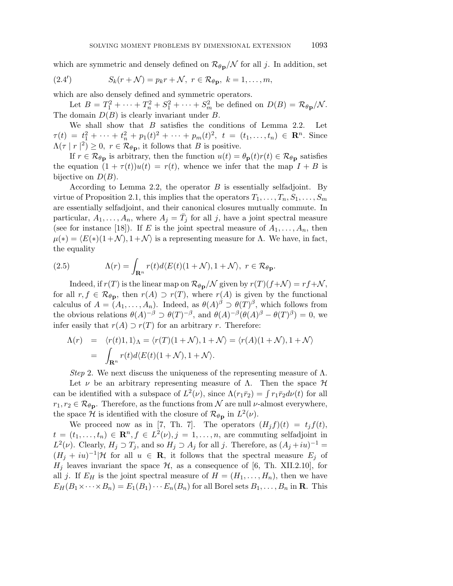which are symmetric and densely defined on  $\mathcal{R}_{\theta \mathbf{p}}/\mathcal{N}$  for all *j*. In addition, set

$$
(2.4') \tSk(r + \mathcal{N}) = p_k r + \mathcal{N}, \ r \in \mathcal{R}_{\theta \mathbf{p}}, \ k = 1, \ldots, m,
$$

which are also densely defined and symmetric operators.

Let  $B = T_1^2 + \cdots + T_n^2 + S_1^2 + \cdots + S_m^2$  be defined on  $D(B) = \mathcal{R}_{\theta \mathbf{p}}/\mathcal{N}$ . The domain *D*(*B*) is clearly invariant under *B*.

We shall show that *B* satisfies the conditions of Lemma 2.2. Let  $\tau(t) = t_1^2 + \cdots + t_n^2 + p_1(t)^2 + \cdots + p_m(t)^2$ ,  $t = (t_1, \ldots, t_n) \in \mathbb{R}^n$ . Since  $\Lambda(\tau | r|^2) \geq 0$ ,  $r \in \mathcal{R}_{\theta \mathbf{p}}$ , it follows that *B* is positive.

If  $r \in \mathcal{R}_{\theta_{\mathbf{D}}}$  is arbitrary, then the function  $u(t) = \theta_{\mathbf{p}}(t)r(t) \in \mathcal{R}_{\theta_{\mathbf{D}}}$  satisfies the equation  $(1 + \tau(t))u(t) = r(t)$ , whence we infer that the map  $I + B$  is bijective on  $D(B)$ .

According to Lemma 2.2, the operator *B* is essentially selfadjoint. By virtue of Proposition 2.1, this implies that the operators  $T_1, \ldots, T_n, S_1, \ldots, S_m$ are essentially selfadjoint, and their canonical closures mutually commute. In particular,  $A_1, \ldots, A_n$ , where  $A_j = \overline{T}_j$  for all *j*, have a joint spectral measure (see for instance [18]). If *E* is the joint spectral measure of  $A_1, \ldots, A_n$ , then  $\mu(*) = \langle E(*)(1+\mathcal{N}), 1+\mathcal{N} \rangle$  is a representing measure for Λ. We have, in fact, the equality

(2.5) 
$$
\Lambda(r) = \int_{\mathbf{R}^n} r(t) d\langle E(t)(1+\mathcal{N}), 1+\mathcal{N}\rangle, \ r \in \mathcal{R}_{\theta \mathbf{p}}.
$$

Indeed, if  $r(T)$  is the linear map on  $\mathcal{R}_{\theta \mathbf{p}}/\mathcal{N}$  given by  $r(T)(f+\mathcal{N}) = rf+\mathcal{N}$ , for all  $r, f \in \mathcal{R}_{\theta_{\mathbf{p}}},$  then  $r(A) \supset r(T)$ , where  $r(A)$  is given by the functional calculus of  $A = (A_1, \ldots, A_n)$ . Indeed, as  $\theta(A)^\beta \supset \theta(T)^\beta$ , which follows from the obvious relations  $\theta(A)^{-\beta} \supset \theta(T)^{-\beta}$ , and  $\theta(A)^{-\beta}(\theta(A)^{\beta} - \theta(T)^{\beta}) = 0$ , we infer easily that  $r(A) \supset r(T)$  for an arbitrary *r*. Therefore:

$$
\Lambda(r) = \langle r(t)1, 1 \rangle_{\Lambda} = \langle r(T)(1+\mathcal{N}), 1+\mathcal{N} \rangle = \langle r(A)(1+\mathcal{N}), 1+\mathcal{N} \rangle
$$
  
= 
$$
\int_{\mathbf{R}^n} r(t) d\langle E(t)(1+\mathcal{N}), 1+\mathcal{N} \rangle.
$$

Step 2. We next discuss the uniqueness of the representing measure of  $\Lambda$ .

Let *ν* be an arbitrary representing measure of  $\Lambda$ . Then the space  $\mathcal{H}$ can be identified with a subspace of  $L^2(\nu)$ , since  $\Lambda(r_1\bar{r}_2) = \int r_1\bar{r}_2 d\nu(t)$  for all  $r_1, r_2 \in \mathcal{R}_{\theta \mathbf{p}}$ . Therefore, as the functions from N are null *ν*-almost everywhere, the space H is identified with the closure of  $\mathcal{R}_{\theta \mathbf{p}}$  in  $L^2(\nu)$ .

We proceed now as in [7, Th. 7]. The operators  $(H_j f)(t) = t_j f(t)$ ,  $t = (t_1, \ldots, t_n) \in \mathbb{R}^n, f \in L^2(\nu), j = 1, \ldots, n$ , are commuting selfadjoint in *L*<sup>2</sup>(*v*). Clearly, *H*<sub>*j*</sub>  $\sup$  *T*<sub>*j*</sub>, and so *H*<sub>*j*</sub>  $\sup$  *A*<sub>*j*</sub> for all *j*. Therefore, as  $(A_j + iu)^{-1} =$  $(H_i + iu)^{-1}$ |H for all  $u \in \mathbf{R}$ , it follows that the spectral measure  $E_i$  of  $H_i$  leaves invariant the space  $H$ , as a consequence of [6, Th. XII.2.10], for all *j*. If  $E_H$  is the joint spectral measure of  $H = (H_1, \ldots, H_n)$ , then we have  $E_H(B_1 \times \cdots \times B_n) = E_1(B_1) \cdots E_n(B_n)$  for all Borel sets  $B_1, \ldots, B_n$  in **R**. This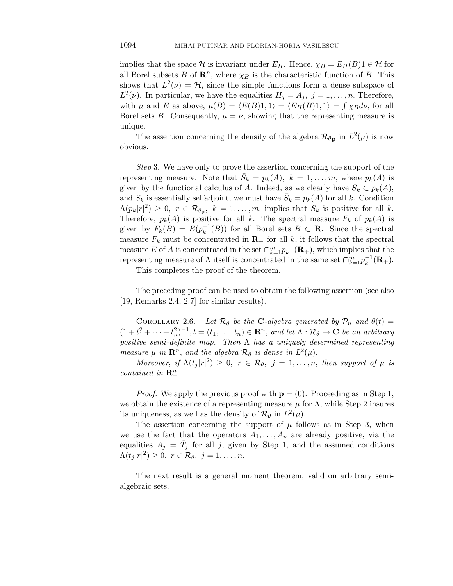implies that the space H is invariant under  $E_H$ . Hence,  $\chi_B = E_H(B)1 \in \mathcal{H}$  for all Borel subsets *B* of  $\mathbb{R}^n$ , where  $\chi_B$  is the characteristic function of *B*. This shows that  $L^2(\nu) = H$ , since the simple functions form a dense subspace of  $L^2(\nu)$ . In particular, we have the equalities  $H_j = A_j$ ,  $j = 1, \ldots, n$ . Therefore, with  $\mu$  and *E* as above,  $\mu(B) = \langle E(B)1, 1 \rangle = \langle E_H(B)1, 1 \rangle = \int \chi_B d\nu$ , for all Borel sets *B*. Consequently,  $\mu = \nu$ , showing that the representing measure is unique.

The assertion concerning the density of the algebra  $\mathcal{R}_{\theta \mathbf{p}}$  in  $L^2(\mu)$  is now obvious.

Step 3. We have only to prove the assertion concerning the support of the representing measure. Note that  $S_k = p_k(A)$ ,  $k = 1, \ldots, m$ , where  $p_k(A)$  is given by the functional calculus of *A*. Indeed, as we clearly have  $S_k \subset p_k(A)$ , and  $S_k$  is essentially selfadjoint, we must have  $S_k = p_k(A)$  for all k. Condition  $\Lambda(p_k|r|^2) \geq 0$ ,  $r \in \mathcal{R}_{\theta_{\mathbf{p}}}, k = 1, \ldots, m$ , implies that  $S_k$  is positive for all k. Therefore,  $p_k(A)$  is positive for all *k*. The spectral measure  $F_k$  of  $p_k(A)$  is given by  $F_k(B) = E(p_k^{-1}(B))$  for all Borel sets  $B \subset \mathbf{R}$ . Since the spectral measure  $F_k$  must be concentrated in  $\mathbf{R}_+$  for all  $k$ , it follows that the spectral measure *E* of *A* is concentrated in the set  $\bigcap_{k=1}^{m} p_k^{-1}(\mathbf{R}_+)$ , which implies that the representing measure of  $\Lambda$  itself is concentrated in the same set  $\bigcap_{k=1}^{m} p_k^{-1}(\mathbf{R}_+)$ .

This completes the proof of the theorem.

The preceding proof can be used to obtain the following assertion (see also [19, Remarks 2.4, 2.7] for similar results).

COROLLARY 2.6. Let  $\mathcal{R}_{\theta}$  be the **C**-algebra generated by  $\mathcal{P}_n$  and  $\theta(t) =$  $(1+t_1^2+\cdots+t_n^2)^{-1}, t=(t_1,\ldots,t_n)\in \mathbf{R}^n,$  and let  $\Lambda:\mathcal{R}_{\theta}\to\mathbf{C}$  be an arbitrary positive semi-definite map. Then  $\Lambda$  has a uniquely determined representing measure  $\mu$  in  $\mathbb{R}^n$ , and the algebra  $\mathcal{R}_{\theta}$  is dense in  $L^2(\mu)$ .

Moreover, if  $\Lambda(t_j |r|^2) \geq 0$ ,  $r \in \mathcal{R}_{\theta}$ ,  $j = 1, \ldots, n$ , then support of  $\mu$  is *contained in*  $\mathbf{R}^n_+$ *.* 

*Proof.* We apply the previous proof with  $\mathbf{p} = (0)$ . Proceeding as in Step 1, we obtain the existence of a representing measure  $\mu$  for  $\Lambda$ , while Step 2 insures its uniqueness, as well as the density of  $\mathcal{R}_{\theta}$  in  $L^2(\mu)$ *.* 

The assertion concerning the support of  $\mu$  follows as in Step 3, when we use the fact that the operators  $A_1, \ldots, A_n$  are already positive, via the equalities  $A_j = \bar{T}_j$  for all *j*, given by Step 1, and the assumed conditions  $\Lambda(t_j|r|^2) \geq 0, r \in \mathcal{R}_{\theta}, j = 1, \ldots, n.$ 

The next result is a general moment theorem, valid on arbitrary semialgebraic sets.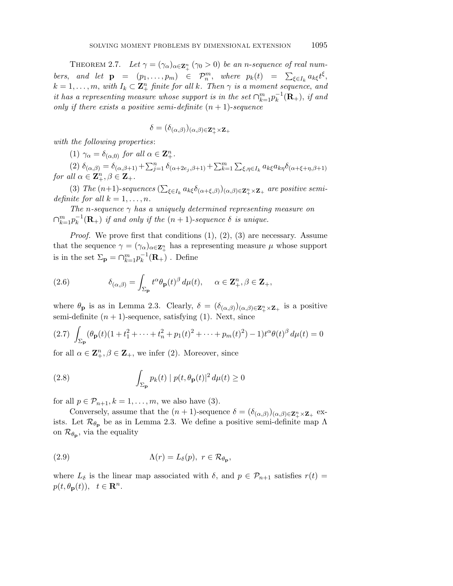THEOREM 2.7. Let  $\gamma = (\gamma_{\alpha})_{\alpha \in \mathbb{Z}_{+}^{n}} (\gamma_{0} > 0)$  be an *n*-sequence of real numbers, and let  $\mathbf{p} = (p_1, \ldots, p_m) \in \mathcal{P}_n^m$ , where  $p_k(t) = \sum_{\xi \in I_k} a_{k\xi} t^{\xi}$ ,  $k = 1, \ldots, m$ , with  $I_k \subset \mathbb{Z}_+^n$  finite for all  $k$ . Then  $\gamma$  is a moment sequence, and it has a representing measure whose support is in the set  $\bigcap_{k=1}^{m} p_k^{-1}(\mathbf{R}_+)$ , if and only if there exists a positive semi-definite  $(n + 1)$ -sequence

$$
\delta = (\delta_{(\alpha,\beta)})_{(\alpha,\beta)\in \mathbf{Z}_+^n \times \mathbf{Z}_+}
$$

with the following properties:

(1)  $\gamma_{\alpha} = \delta_{(\alpha,0)}$  for all  $\alpha \in \mathbb{Z}_{+}^{n}$ .

(2)  $\delta_{(\alpha,\beta)} = \delta_{(\alpha,\beta+1)} + \sum_{j=1}^n \delta_{(\alpha+2e_j,\beta+1)} + \sum_{k=1}^m \sum_{\xi,\eta \in I_k} a_{k\xi} a_{k\eta} \delta_{(\alpha+\xi+\eta,\beta+1)}$  $for \ all \ \alpha \in \mathbf{Z}_{+}^{n}, \beta \in \mathbf{Z}_{+}.$ 

(3) The  $(n+1)$ -sequences  $(\sum_{\xi \in I_k} a_{k\xi} \delta_{(\alpha+\xi,\beta)})_{(\alpha,\beta)\in \mathbb{Z}_+^n \times \mathbb{Z}_+}$  are positive semidefinite for all  $k = 1, \ldots, n$ .

The *n*-sequence  $\gamma$  has a uniquely determined representing measure on  $\bigcap_{k=1}^{m} p_k^{-1}(\mathbf{R}_+)$  *if and only if the*  $(n+1)$ -sequence  $\delta$  *is unique.* 

*Proof.* We prove first that conditions  $(1), (2), (3)$  are necessary. Assume that the sequence  $\gamma = (\gamma_\alpha)_{\alpha \in \mathbb{Z}_+^n}$  has a representing measure  $\mu$  whose support is in the set  $\Sigma_{\mathbf{p}} = \bigcap_{k=1}^{m} p_k^{-1}(\mathbf{R}_+)$ . Define

(2.6) 
$$
\delta_{(\alpha,\beta)} = \int_{\Sigma_{\mathbf{p}}} t^{\alpha} \theta_{\mathbf{p}}(t)^{\beta} d\mu(t), \quad \alpha \in \mathbf{Z}_{+}^{n}, \beta \in \mathbf{Z}_{+},
$$

where  $\theta_{\bf p}$  is as in Lemma 2.3. Clearly,  $\delta = (\delta_{(\alpha,\beta)})_{(\alpha,\beta)\in{\bf Z}_+^n\times{\bf Z}_+}$  is a positive semi-definite  $(n + 1)$ -sequence, satisfying  $(1)$ . Next, since

$$
(2.7) \int_{\Sigma_{\mathbf{p}}} (\theta_{\mathbf{p}}(t)(1+t_1^2+\cdots+t_n^2+p_1(t))^2+\cdots+p_m(t)^2)-1)t^{\alpha}\theta(t)^{\beta} d\mu(t)=0
$$

for all  $\alpha \in \mathbb{Z}_{+}^{n}, \beta \in \mathbb{Z}_{+}$ , we infer (2). Moreover, since

(2.8) 
$$
\int_{\Sigma_{\mathbf{p}}} p_k(t) |p(t, \theta_{\mathbf{p}}(t)|^2 d\mu(t) \ge 0
$$

for all  $p \in \mathcal{P}_{n+1}, k = 1, \ldots, m$ , we also have (3).

Conversely, assume that the  $(n + 1)$ -sequence  $\delta = (\delta_{(\alpha,\beta)})_{(\alpha,\beta)} \in \mathbb{Z}_{+}^{n} \times \mathbb{Z}_{+}$  exists. Let  $\mathcal{R}_{\theta_{\mathbf{p}}}$  be as in Lemma 2.3. We define a positive semi-definite map  $\Lambda$ on  $\mathcal{R}_{\theta_{\mathbf{p}}},$  via the equality

(2.9) 
$$
\Lambda(r) = L_{\delta}(p), \ r \in \mathcal{R}_{\theta_{\mathbf{p}}},
$$

where  $L_{\delta}$  is the linear map associated with  $\delta$ , and  $p \in \mathcal{P}_{n+1}$  satisfies  $r(t)$  $p(t, \theta_{\mathbf{p}}(t)), t \in \mathbf{R}^n$ .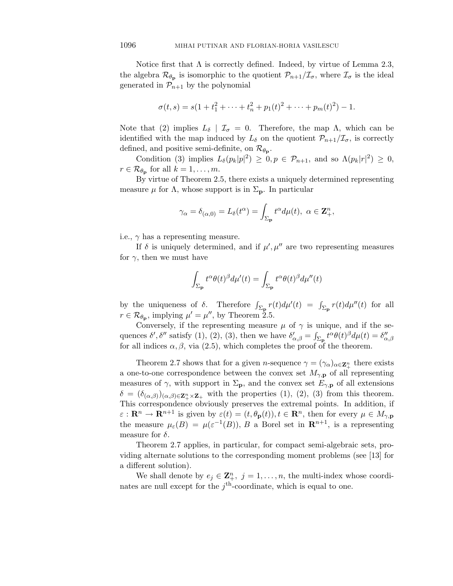Notice first that  $\Lambda$  is correctly defined. Indeed, by virtue of Lemma 2.3, the algebra  $\mathcal{R}_{\theta_{p}}$  is isomorphic to the quotient  $\mathcal{P}_{n+1}/\mathcal{I}_{\sigma}$ , where  $\mathcal{I}_{\sigma}$  is the ideal generated in  $\mathcal{P}_{n+1}$  by the polynomial

$$
\sigma(t,s) = s(1+t_1^2 + \dots + t_n^2 + p_1(t)^2 + \dots + p_m(t)^2) - 1.
$$

Note that (2) implies  $L_{\delta}$  |  $\mathcal{I}_{\sigma} = 0$ . Therefore, the map  $\Lambda$ , which can be identified with the map induced by  $L_{\delta}$  on the quotient  $\mathcal{P}_{n+1}/\mathcal{I}_{\sigma}$ , is correctly defined, and positive semi-definite, on  $\mathcal{R}_{\theta_{\mathbf{p}}}.$ 

Condition (3) implies  $L_{\delta}(p_k|p|^2) \geq 0, p \in \mathcal{P}_{n+1}$ , and so  $\Lambda(p_k|r|^2) \geq 0$ ,  $r \in \mathcal{R}_{\theta_{\mathbf{p}}}$  for all  $k = 1, \ldots, m$ .

By virtue of Theorem 2.5, there exists a uniquely determined representing measure  $\mu$  for  $\Lambda$ , whose support is in  $\Sigma_p$ . In particular

$$
\gamma_{\alpha} = \delta_{(\alpha,0)} = L_{\delta}(t^{\alpha}) = \int_{\Sigma_{\mathbf{p}}} t^{\alpha} d\mu(t), \ \alpha \in \mathbf{Z}_{+}^{n},
$$

i.e.,  $\gamma$  has a representing measure.

If  $\delta$  is uniquely determined, and if  $\mu', \mu''$  are two representing measures for  $\gamma$ , then we must have

$$
\int_{\Sigma_{\mathbf{p}}} t^{\alpha} \theta(t)^{\beta} d\mu'(t) = \int_{\Sigma_{\mathbf{p}}} t^{\alpha} \theta(t)^{\beta} d\mu''(t)
$$

by the uniqueness of  $\delta$ . Therefore  $\int_{\Sigma_{\mathbf{p}}} r(t) d\mu'(t) = \int_{\Sigma_{\mathbf{p}}} r(t) d\mu''(t)$  for all  $r \in \mathcal{R}_{\theta_{\mathbf{p}}},$  implying  $\mu' = \mu''$ , by Theorem 2.5.

Conversely, if the representing measure  $\mu$  of  $\gamma$  is unique, and if the sequences  $\delta'$ ,  $\delta''$  satisfy (1), (2), (3), then we have  $\delta'_{\alpha,\beta} = \int_{\Sigma_{\mathbf{p}}} t^{\alpha} \theta(t)^{\beta} d\mu(t) = \delta''_{\alpha,\beta}$ for all indices  $\alpha, \beta$ , via (2.5), which completes the proof of the theorem.

Theorem 2.7 shows that for a given *n*-sequence  $\gamma = (\gamma_\alpha)_{\alpha \in \mathbb{Z}_{+}^n}$  there exists a one-to-one correspondence between the convex set  $M_{\gamma,\mathbf{p}}$  of all representing measures of  $\gamma$ , with support in  $\Sigma_p$ , and the convex set  $E_{\gamma,p}$  of all extensions  $\delta = (\delta_{(\alpha,\beta)})_{(\alpha,\beta)\in\mathbb{Z}_{+}^{n}\times\mathbb{Z}_{+}}$  with the properties (1), (2), (3) from this theorem. This correspondence obviously preserves the extremal points. In addition, if  $\varepsilon$  :  $\mathbf{R}^n \to \mathbf{R}^{n+1}$  is given by  $\varepsilon(t) = (t, \theta_{\mathbf{p}}(t)), t \in \mathbf{R}^n$ , then for every  $\mu \in M_{\gamma, \mathbf{p}}$ the measure  $\mu_{\varepsilon}(B) = \mu(\varepsilon^{-1}(B)), B$  a Borel set in  $\mathbb{R}^{n+1}$ , is a representing measure for  $\delta$ .

Theorem 2.7 applies, in particular, for compact semi-algebraic sets, providing alternate solutions to the corresponding moment problems (see [13] for a different solution).

We shall denote by  $e_j \in \mathbf{Z}_{+}^n$ ,  $j = 1, \ldots, n$ , the multi-index whose coordinates are null except for the  $j^{\text{th}}$ -coordinate, which is equal to one.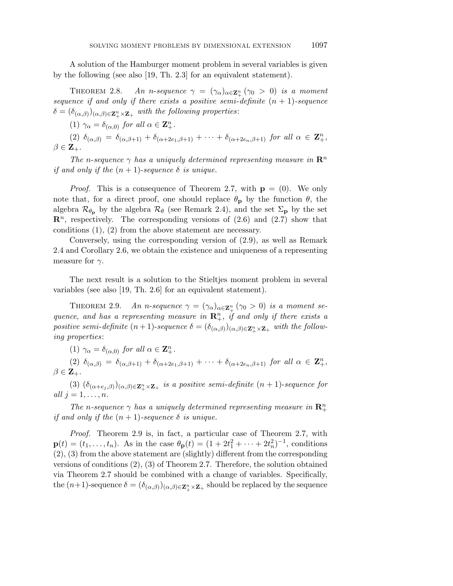A solution of the Hamburger moment problem in several variables is given by the following (see also [19, Th. 2.3] for an equivalent statement).

THEOREM 2.8.  $\Delta M$  *n n*-sequence  $\gamma = (\gamma_{\alpha})_{\alpha \in \mathbb{Z}_{+}^{n}} (\gamma_{0} > 0)$  is a moment sequence if and only if there exists a positive semi-definite  $(n + 1)$ -sequence  $\delta = (\delta_{(\alpha,\beta)})_{(\alpha,\beta)\in\mathbb{Z}_{+}^{n}\times\mathbb{Z}_{+}}$  with the following properties:

(1)  $\gamma_{\alpha} = \delta_{(\alpha,0)}$  for all  $\alpha \in \mathbb{Z}_{+}^{n}$ .

 $(2)$   $\delta_{(\alpha,\beta)} = \delta_{(\alpha,\beta+1)} + \delta_{(\alpha+2e_1,\beta+1)} + \cdots + \delta_{(\alpha+2e_n,\beta+1)}$  for all  $\alpha \in \mathbb{Z}_+^n$ ,  $\beta \in \mathbf{Z}_{+}$ .

The *n*-sequence  $\gamma$  has a uniquely determined representing measure in  $\mathbb{R}^n$ if and only if the  $(n + 1)$ -sequence  $\delta$  is unique.

*Proof.* This is a consequence of Theorem 2.7, with  $p = (0)$ . We only note that, for a direct proof, one should replace  $\theta_{\bf p}$  by the function  $\theta$ , the algebra  $\mathcal{R}_{\theta_{\bf p}}$  by the algebra  $\mathcal{R}_{\theta}$  (see Remark 2.4), and the set  $\Sigma_{\bf p}$  by the set  $\mathbb{R}^n$ , respectively. The corresponding versions of  $(2.6)$  and  $(2.7)$  show that conditions (1), (2) from the above statement are necessary.

Conversely, using the corresponding version of (2.9), as well as Remark 2.4 and Corollary 2.6, we obtain the existence and uniqueness of a representing measure for  $\gamma$ .

The next result is a solution to the Stieltjes moment problem in several variables (see also [19, Th. 2.6] for an equivalent statement).

THEOREM 2.9.  $M$  2.9. *An n*-sequence  $\gamma = (\gamma_\alpha)_{\alpha \in \mathbb{Z}_+^n}$  ( $\gamma_0 > 0$ ) is a moment sequence, and has a representing measure in  $\mathbb{R}^n_+$ , if and only if there exists a positive semi-definite  $(n+1)$ -sequence  $\delta = (\delta_{(\alpha,\beta)})_{(\alpha,\beta)\in \mathbf{Z}_+^n \times \mathbf{Z}_+}$  with the following properties:

(1)  $\gamma_{\alpha} = \delta_{(\alpha,0)}$  for all  $\alpha \in \mathbb{Z}_{+}^{n}$ .

 $(2)$   $\delta_{(\alpha,\beta)} = \delta_{(\alpha,\beta+1)} + \delta_{(\alpha+2e_1,\beta+1)} + \cdots + \delta_{(\alpha+2e_n,\beta+1)}$  for all  $\alpha \in \mathbb{Z}_+^n$ ,  $\beta \in \mathbf{Z}_{+}$ .

(3)  $(\delta_{(\alpha+e_j,\beta)})(\alpha,\beta) \in \mathbb{Z}_+^n \times \mathbb{Z}_+$  is a positive semi-definite  $(n+1)$ -sequence for all  $j = 1, \ldots, n$ .

The *n*-sequence  $\gamma$  has a uniquely determined representing measure in  $\mathbb{R}^n_+$ if and only if the  $(n+1)$ -sequence  $\delta$  is unique.

Proof. Theorem 2.9 is, in fact, a particular case of Theorem 2.7, with  $\mathbf{p}(t) = (t_1, \ldots, t_n)$ . As in the case  $\theta_{\mathbf{p}}(t) = (1 + 2t_1^2 + \cdots + 2t_n^2)^{-1}$ , conditions (2), (3) from the above statement are (slightly) different from the corresponding versions of conditions (2), (3) of Theorem 2.7. Therefore, the solution obtained via Theorem 2.7 should be combined with a change of variables. Specifically, the  $(n+1)$ -sequence  $\delta = (\delta_{(\alpha,\beta)})_{(\alpha,\beta)\in \mathbb{Z}_+^n \times \mathbb{Z}_+}$  should be replaced by the sequence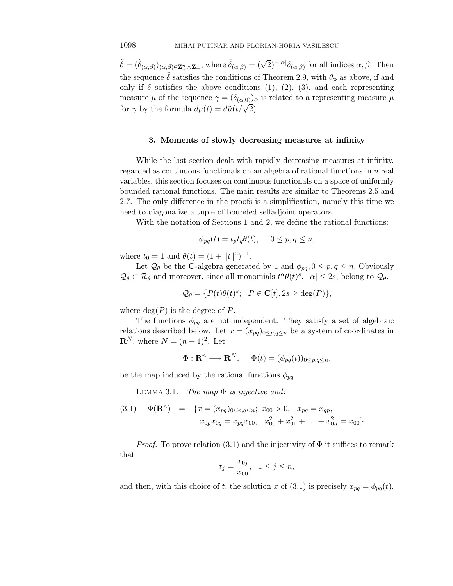$\tilde{\delta} = (\tilde{\delta}_{(\alpha,\beta)})_{(\alpha,\beta)\in\mathbb{Z}_{+}^{n}\times\mathbb{Z}_{+}}$ , where  $\tilde{\delta}_{(\alpha,\beta)} = (\sqrt{2})^{-|\alpha|}\delta_{(\alpha,\beta)}$  for all indices  $\alpha, \beta$ . Then the sequence  $\tilde{\delta}$  satisfies the conditions of Theorem 2.9, with  $\theta_{\bf p}$  as above, if and only if  $\delta$  satisfies the above conditions (1), (2), (3), and each representing measure  $\tilde{\mu}$  of the sequence  $\tilde{\gamma} = (\delta_{(\alpha,0)})_{\alpha}$  is related to a representing measure  $\mu$ for  $\gamma$  by the formula  $d\mu(t) = d\tilde{\mu}(t/\sqrt{2}).$ 

#### **3. Moments of slowly decreasing measures at infinity**

While the last section dealt with rapidly decreasing measures at infinity, regarded as continuous functionals on an algebra of rational functions in *n* real variables, this section focuses on continuous functionals on a space of uniformly bounded rational functions. The main results are similar to Theorems 2.5 and 2.7. The only difference in the proofs is a simplification, namely this time we need to diagonalize a tuple of bounded selfadjoint operators.

With the notation of Sections 1 and 2, we define the rational functions:

$$
\phi_{pq}(t) = t_p t_q \theta(t), \quad 0 \le p, q \le n,
$$

where  $t_0 = 1$  and  $\theta(t) = (1 + ||t||^2)^{-1}$ .

Let  $\mathcal{Q}_{\theta}$  be the **C**-algebra generated by 1 and  $\phi_{pq}, 0 \leq p, q \leq n$ . Obviously  $\mathcal{Q}_{\theta} \subset \mathcal{R}_{\theta}$  and moreover, since all monomials  $t^{\alpha} \theta(t)^s$ ,  $|\alpha| \leq 2s$ , belong to  $\mathcal{Q}_{\theta}$ ,

$$
\mathcal{Q}_{\theta} = \{ P(t)\theta(t)^s; \ P \in \mathbf{C}[t], 2s \ge \deg(P) \},\
$$

where  $deg(P)$  is the degree of  $P$ .

The functions  $\phi_{pq}$  are not independent. They satisfy a set of algebraic relations described below. Let  $x = (x_{pq})_{0 \leq p,q \leq n}$  be a system of coordinates in **R**<sup>*N*</sup>, where *N* =  $(n + 1)^2$ . Let

$$
\Phi: \mathbf{R}^n \longrightarrow \mathbf{R}^N, \quad \Phi(t) = (\phi_{pq}(t))_{0 \le p,q \le n},
$$

be the map induced by the rational functions  $\phi_{pq}$ .

LEMMA 3.1. The map  $\Phi$  is injective and:

(3.1) 
$$
\Phi(\mathbf{R}^n) = \{x = (x_{pq})_{0 \le p,q \le n}; x_{00} > 0, x_{pq} = x_{qp}, x_{0p}x_{0q} = x_{pq}x_{00}, x_{00}^2 + x_{01}^2 + \ldots + x_{0n}^2 = x_{00}\}.
$$

*Proof.* To prove relation (3.1) and the injectivity of  $\Phi$  it suffices to remark that

$$
t_j = \frac{x_{0j}}{x_{00}}, \ \ 1 \le j \le n,
$$

and then, with this choice of *t*, the solution *x* of (3.1) is precisely  $x_{pq} = \phi_{pq}(t)$ .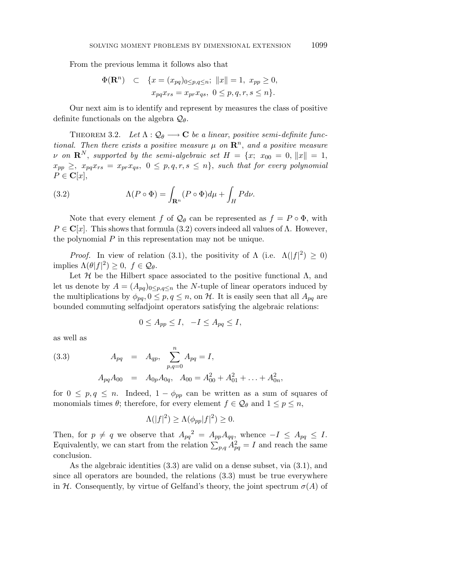From the previous lemma it follows also that

$$
\Phi(\mathbf{R}^n) \quad \subset \quad \{x = (x_{pq})_{0 \le p,q \le n}; \ \|x\| = 1, \ x_{pp} \ge 0, \\
x_{pq} x_{rs} = x_{pr} x_{qs}, \ 0 \le p, q, r, s \le n\}.
$$

Our next aim is to identify and represent by measures the class of positive definite functionals on the algebra Q*θ*.

THEOREM 3.2. Let  $\Lambda : \mathcal{Q}_{\theta} \longrightarrow \mathbf{C}$  be a linear, positive semi-definite functional. Then there exists a positive measure  $\mu$  on  $\mathbb{R}^n$ , and a positive measure *ν* on  $\mathbb{R}^N$ , supported by the semi-algebraic set  $H = \{x; x_{00} = 0, \|x\| = 1,$  $x_{pp} \geq$ ,  $x_{pq}x_{rs} = x_{pr}x_{qs}, 0 \leq p, q, r, s \leq n$ , such that for every polynomial  $P \in \mathbf{C}[x],$ 

(3.2) 
$$
\Lambda(P \circ \Phi) = \int_{\mathbf{R}^n} (P \circ \Phi) d\mu + \int_H P d\nu.
$$

Note that every element *f* of  $\mathcal{Q}_{\theta}$  can be represented as  $f = P \circ \Phi$ , with  $P \in \mathbb{C}[x]$ . This shows that formula (3.2) covers indeed all values of  $\Lambda$ . However, the polynomial *P* in this representation may not be unique.

*Proof.* In view of relation (3.1), the positivity of  $\Lambda$  (i.e.  $\Lambda(|f|^2) \geq 0$ ) implies  $\Lambda(\theta|f|^2) \geq 0, \ f \in \mathcal{Q}_{\theta}$ .

Let  $H$  be the Hilbert space associated to the positive functional  $\Lambda$ , and let us denote by  $A = (A_{pq})_{0 \leq p,q \leq n}$  the *N*-tuple of linear operators induced by the multiplications by  $\phi_{pq}, 0 \leq p, q \leq n$ , on H. It is easily seen that all  $A_{pq}$  are bounded commuting selfadjoint operators satisfying the algebraic relations:

$$
0 \le A_{pp} \le I, \quad -I \le A_{pq} \le I,
$$

as well as

(3.3) 
$$
A_{pq} = A_{qp}, \sum_{p,q=0}^{n} A_{pq} = I,
$$

$$
A_{pq}A_{00} = A_{0p}A_{0q}, A_{00} = A_{00}^2 + A_{01}^2 + \ldots + A_{0n}^2,
$$

for  $0 \leq p, q \leq n$ . Indeed,  $1 - \phi_{pp}$  can be written as a sum of squares of monomials times  $\theta$ ; therefore, for every element  $f \in \mathcal{Q}_{\theta}$  and  $1 \leq p \leq n$ ,

$$
\Lambda(|f|^2) \ge \Lambda(\phi_{pp}|f|^2) \ge 0.
$$

Then, for  $p \neq q$  we observe that  $A_{pq}^2 = A_{pp}A_{qq}$ , whence  $-I \leq A_{pq} \leq I$ . Equivalently, we can start from the relation  $\sum_{p,q} A_{pq}^2 = I$  and reach the same conclusion.

As the algebraic identities (3.3) are valid on a dense subset, via (3.1), and since all operators are bounded, the relations (3.3) must be true everywhere in H. Consequently, by virtue of Gelfand's theory, the joint spectrum  $\sigma(A)$  of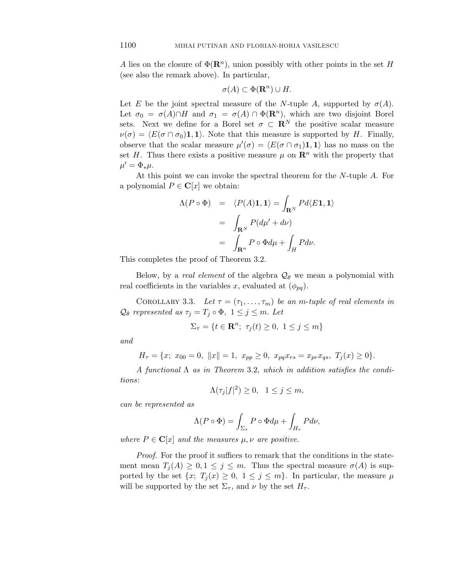*A* lies on the closure of  $\Phi(\mathbf{R}^n)$ , union possibly with other points in the set *H* (see also the remark above). In particular,

$$
\sigma(A) \subset \Phi(\mathbf{R}^n) \cup H.
$$

Let *E* be the joint spectral measure of the *N*-tuple *A*, supported by  $\sigma(A)$ . Let  $\sigma_0 = \sigma(A) \cap H$  and  $\sigma_1 = \sigma(A) \cap \Phi(\mathbf{R}^n)$ , which are two disjoint Borel sets. Next we define for a Borel set  $\sigma \subset \mathbb{R}^N$  the positive scalar measure  $\nu(\sigma) = \langle E(\sigma \cap \sigma_0) \mathbf{1}, \mathbf{1} \rangle$ . Note that this measure is supported by *H*. Finally, observe that the scalar measure  $\mu'(\sigma) = \langle E(\sigma \cap \sigma_1) \mathbf{1}, \mathbf{1} \rangle$  has no mass on the set *H*. Thus there exists a positive measure  $\mu$  on  $\mathbb{R}^n$  with the property that  $\mu' = \Phi_* \mu$ .

At this point we can invoke the spectral theorem for the *N*-tuple *A*. For a polynomial  $P \in \mathbf{C}[x]$  we obtain:

$$
\Lambda(P \circ \Phi) = \langle P(A)\mathbf{1}, \mathbf{1} \rangle = \int_{\mathbf{R}^N} Pd\langle E\mathbf{1}, \mathbf{1} \rangle
$$
  
= 
$$
\int_{\mathbf{R}^N} P(d\mu' + d\nu)
$$
  
= 
$$
\int_{\mathbf{R}^n} P \circ \Phi d\mu + \int_H P d\nu.
$$

This completes the proof of Theorem 3.2.

Below, by a *real element* of the algebra  $\mathcal{Q}_{\theta}$  we mean a polynomial with real coefficients in the variables *x*, evaluated at  $(\phi_{pq})$ .

COROLLARY 3.3. Let  $\tau = (\tau_1, \ldots, \tau_m)$  be an *m*-tuple of real elements in  $Q_{\theta}$  represented as  $\tau_j = T_j \circ \Phi$ ,  $1 \leq j \leq m$ . Let

$$
\Sigma_{\tau} = \{ t \in \mathbf{R}^n; \ \tau_j(t) \ge 0, \ 1 \le j \le m \}
$$

and

$$
H_{\tau} = \{x; \ x_{00} = 0, \ ||x|| = 1, \ x_{pp} \ge 0, \ x_{pq} x_{rs} = x_{pr} x_{qs}, \ T_j(x) \ge 0\}.
$$

A functional  $\Lambda$  as in Theorem 3.2, which in addition satisfies the conditions:

$$
\Lambda(\tau_j|f|^2) \ge 0, \quad 1 \le j \le m,
$$

can be represented as

$$
\Lambda(P \circ \Phi) = \int_{\Sigma_{\tau}} P \circ \Phi d\mu + \int_{H_{\tau}} P d\nu,
$$

where  $P \in \mathbf{C}[x]$  and the measures  $\mu, \nu$  are positive.

Proof. For the proof it suffices to remark that the conditions in the statement mean  $T_j(A) \geq 0, 1 \leq j \leq m$ . Thus the spectral measure  $\sigma(A)$  is supported by the set  $\{x; T_j(x) \geq 0, 1 \leq j \leq m\}$ . In particular, the measure  $\mu$ will be supported by the set  $\Sigma_{\tau}$ , and  $\nu$  by the set  $H_{\tau}$ .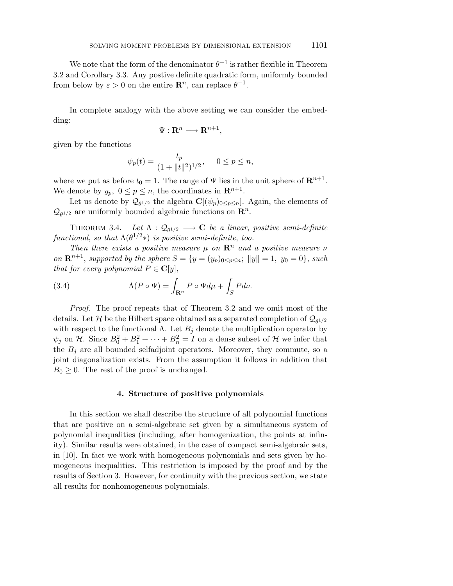We note that the form of the denominator  $\theta^{-1}$  is rather flexible in Theorem 3.2 and Corollary 3.3. Any postive definite quadratic form, uniformly bounded from below by  $\varepsilon > 0$  on the entire  $\mathbb{R}^n$ , can replace  $\theta^{-1}$ .

In complete analogy with the above setting we can consider the embedding:

$$
\Psi: \mathbf{R}^n \longrightarrow \mathbf{R}^{n+1},
$$

given by the functions

$$
\psi_p(t) = \frac{t_p}{(1 + \|t\|^2)^{1/2}}, \quad 0 \le p \le n,
$$

where we put as before  $t_0 = 1$ . The range of  $\Psi$  lies in the unit sphere of  $\mathbb{R}^{n+1}$ . We denote by  $y_p$ ,  $0 \le p \le n$ , the coordinates in  $\mathbb{R}^{n+1}$ .

Let us denote by  $\mathcal{Q}_{\theta^{1/2}}$  the algebra  $\mathbf{C}[(\psi_p)_{0 \leq p \leq n}]$ . Again, the elements of  $Q_{\theta^{1/2}}$  are uniformly bounded algebraic functions on  $\mathbb{R}^n$ .

THEOREM 3.4. Let  $\Lambda : \mathcal{Q}_{\theta^{1/2}} \longrightarrow \mathbf{C}$  be a linear, positive semi-definite functional, so that  $\Lambda(\theta^{1/2})$  is positive semi-definite, too.

Then there exists a positive measure  $\mu$  on  $\mathbb{R}^n$  and a positive measure  $\nu$ on  $\mathbf{R}^{n+1}$ , supported by the sphere  $S = \{y = (y_p)_{0 \le p \le n}; ||y|| = 1, y_0 = 0\}$ , such that for every polynomial  $P \in \mathbf{C}[y]$ ,

(3.4) 
$$
\Lambda(P \circ \Psi) = \int_{\mathbf{R}^n} P \circ \Psi d\mu + \int_S P d\nu.
$$

Proof. The proof repeats that of Theorem 3.2 and we omit most of the details. Let H be the Hilbert space obtained as a separated completion of  $Q_{\theta^{1/2}}$ with respect to the functional  $\Lambda$ . Let  $B_j$  denote the multiplication operator by  $\psi_j$  on H. Since  $B_0^2 + B_1^2 + \cdots + B_n^2 = I$  on a dense subset of H we infer that the  $B_i$  are all bounded selfadjoint operators. Moreover, they commute, so a joint diagonalization exists. From the assumption it follows in addition that  $B_0 \geq 0$ . The rest of the proof is unchanged.

### **4. Structure of positive polynomials**

In this section we shall describe the structure of all polynomial functions that are positive on a semi-algebraic set given by a simultaneous system of polynomial inequalities (including, after homogenization, the points at infinity). Similar results were obtained, in the case of compact semi-algebraic sets, in [10]. In fact we work with homogeneous polynomials and sets given by homogeneous inequalities. This restriction is imposed by the proof and by the results of Section 3. However, for continuity with the previous section, we state all results for nonhomogeneous polynomials.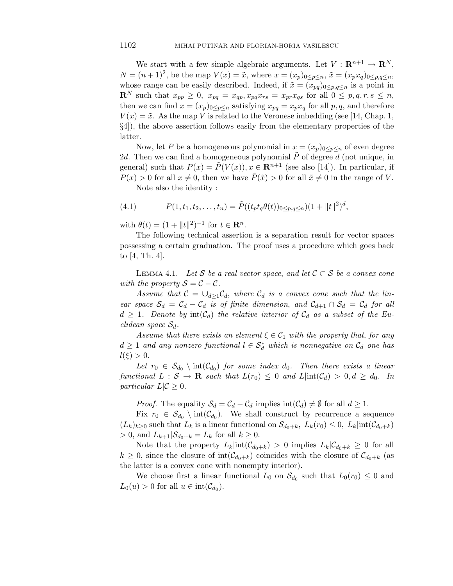We start with a few simple algebraic arguments. Let  $V: \mathbf{R}^{n+1} \to \mathbf{R}^N$ , *N* =  $(n+1)^2$ , be the map  $V(x) = \tilde{x}$ , where  $x = (x_p)_{0 \le p \le n}$ ,  $\tilde{x} = (x_p x_q)_{0 \le p, q \le n}$ , whose range can be easily described. Indeed, if  $\tilde{x} = (x_{pq})_{0 \leq p,q \leq n}$  is a point in **R**<sup>*N*</sup> such that  $x_{pp} \geq 0$ ,  $x_{pq} = x_{qp}, x_{pq}x_{rs} = x_{pr}x_{qs}$  for all  $0 \leq p, q, r, s \leq n$ , then we can find  $x = (x_p)_{0 \le p \le n}$  satisfying  $x_{pq} = x_p x_q$  for all p, q, and therefore  $V(x) = \tilde{x}$ . As the map *V* is related to the Veronese imbedding (see [14, Chap. 1, §4]), the above assertion follows easily from the elementary properties of the latter.

Now, let P be a homogeneous polynomial in  $x = (x_p)_{0 \leq p \leq n}$  of even degree 2*d*. Then we can find a homogeneous polynomial  $\tilde{P}$  of degree *d* (not unique, in general) such that  $P(x) = \tilde{P}(V(x)), x \in \mathbb{R}^{n+1}$  (see also [14]). In particular, if  $P(x) > 0$  for all  $x \neq 0$ , then we have  $\tilde{P}(\tilde{x}) > 0$  for all  $\tilde{x} \neq 0$  in the range of *V*.

Note also the identity :

(4.1) 
$$
P(1, t_1, t_2, \dots, t_n) = \tilde{P}((t_p t_q \theta(t))_{0 \le p, q \le n})(1 + ||t||^2)^d,
$$

with  $\theta(t) = (1 + ||t||^2)^{-1}$  for  $t \in \mathbb{R}^n$ .

The following technical assertion is a separation result for vector spaces possessing a certain graduation. The proof uses a procedure which goes back to [4, Th. 4].

LEMMA 4.1. Let S be a real vector space, and let  $C \subset S$  be a convex cone with the property  $S = C - C$ .

Assume that  $C = \bigcup_{d>1} C_d$ , where  $C_d$  is a convex cone such that the linear space  $S_d = C_d - C_d$  is of finite dimension, and  $C_{d+1} \cap S_d = C_d$  for all  $d \geq 1$ . Denote by  $\text{int}(\mathcal{C}_d)$  the relative interior of  $\mathcal{C}_d$  as a subset of the Euclidean space S*d*.

Assume that there exists an element  $\xi \in C_1$  with the property that, for any  $d \geq 1$  and any nonzero functional  $l \in \mathcal{S}_d^*$  which is nonnegative on  $\mathcal{C}_d$  one has  $l(\xi) > 0$ .

Let  $r_0 \in S_{d_0} \setminus \text{int}(\mathcal{C}_{d_0})$  for some index  $d_0$ . Then there exists a linear functional  $L : \mathcal{S} \to \mathbf{R}$  such that  $L(r_0) \leq 0$  and  $L|\text{int}(\mathcal{C}_d) > 0, d \geq d_0$ . In particular  $L|\mathcal{C} \geq 0$ .

*Proof.* The equality  $S_d = C_d - C_d$  implies  $int(C_d) \neq \emptyset$  for all  $d \geq 1$ .

Fix  $r_0 \in S_{d_0} \setminus \text{int}(\mathcal{C}_{d_0})$ . We shall construct by recurrence a sequence  $(L_k)_{k\geq 0}$  such that  $L_k$  is a linear functional on  $\mathcal{S}_{d_0+k}$ ,  $L_k(r_0) \leq 0$ ,  $L_k|\text{int}(\mathcal{C}_{d_0+k})$  $> 0$ , and  $L_{k+1} | \mathcal{S}_{d_0+k} = L_k$  for all  $k \geq 0$ .

Note that the property  $L_k|\text{int}(\mathcal{C}_{d_0+k}) > 0$  implies  $L_k|\mathcal{C}_{d_0+k} \geq 0$  for all  $k \geq 0$ , since the closure of int $(\mathcal{C}_{d_0+k})$  coincides with the closure of  $\mathcal{C}_{d_0+k}$  (as the latter is a convex cone with nonempty interior).

We choose first a linear functional  $L_0$  on  $\mathcal{S}_{d_0}$  such that  $L_0(r_0) \leq 0$  and  $L_0(u) > 0$  for all  $u \in \text{int}(\mathcal{C}_{d_0})$ .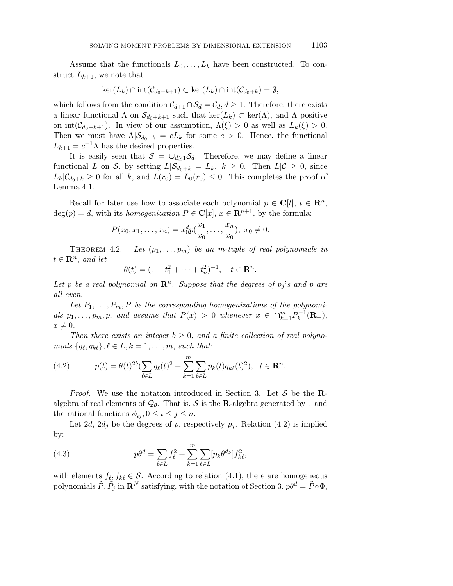Assume that the functionals  $L_0, \ldots, L_k$  have been constructed. To construct  $L_{k+1}$ , we note that

$$
\ker(L_k) \cap \mathrm{int}(\mathcal{C}_{d_0+k+1}) \subset \ker(L_k) \cap \mathrm{int}(\mathcal{C}_{d_0+k}) = \emptyset,
$$

which follows from the condition  $\mathcal{C}_{d+1} \cap \mathcal{S}_d = \mathcal{C}_d, d \geq 1$ . Therefore, there exists a linear functional  $\Lambda$  on  $\mathcal{S}_{d_0+k+1}$  such that ker( $L_k$ ) ⊂ ker( $\Lambda$ ), and  $\Lambda$  positive on int $(C_{d_0+k+1})$ . In view of our assumption,  $\Lambda(\xi) > 0$  as well as  $L_k(\xi) > 0$ . Then we must have  $\Lambda|\mathcal{S}_{d_0+k} = cL_k$  for some  $c > 0$ . Hence, the functional  $L_{k+1} = c^{-1} \Lambda$  has the desired properties.

It is easily seen that  $S = \bigcup_{d>1} S_d$ . Therefore, we may define a linear functional *L* on *S*, by setting  $L|\mathcal{S}_{d_0+k} = L_k$ ,  $k \geq 0$ . Then  $L|\mathcal{C} \geq 0$ , since  $L_k|\mathcal{C}_{d_0+k} \geq 0$  for all *k*, and  $L(r_0) = L_0(r_0) \leq 0$ . This completes the proof of Lemma 4.1.

Recall for later use how to associate each polynomial  $p \in \mathbb{C}[t], t \in \mathbb{R}^n$ ,  $deg(p) = d$ , with its *homogenization*  $P \in \mathbb{C}[x]$ ,  $x \in \mathbb{R}^{n+1}$ , by the formula:

$$
P(x_0, x_1, \dots, x_n) = x_0^d p(\frac{x_1}{x_0}, \dots, \frac{x_n}{x_0}), \ x_0 \neq 0.
$$

THEOREM 4.2. Let  $(p_1, \ldots, p_m)$  be an m-tuple of real polynomials in  $t \in \mathbf{R}^n$ , and let

$$
\theta(t) = (1 + t_1^2 + \dots + t_n^2)^{-1}, \quad t \in \mathbf{R}^n.
$$

Let p be a real polynomial on  $\mathbb{R}^n$ . Suppose that the degrees of  $p_j$ 's and p are all even.

Let  $P_1, \ldots, P_m, P$  be the corresponding homogenizations of the polynomials  $p_1, \ldots, p_m, p$ , and assume that  $P(x) > 0$  whenever  $x \in \bigcap_{k=1}^m P_k^{-1}(\mathbf{R}_+),$  $x \neq 0$ .

Then there exists an integer  $b \geq 0$ , and a finite collection of real polyno $mials \{q_{\ell}, q_{k\ell}\}, \ell \in L, k = 1, \ldots, m, such that:$ 

(4.2) 
$$
p(t) = \theta(t)^{2b} \left(\sum_{\ell \in L} q_{\ell}(t)^{2} + \sum_{k=1}^{m} \sum_{\ell \in L} p_{k}(t) q_{k\ell}(t)^{2}\right), \quad t \in \mathbf{R}^{n}.
$$

Proof. We use the notation introduced in Section 3. Let S be the **R**algebra of real elements of  $Q_{\theta}$ . That is, S is the **R**-algebra generated by 1 and the rational functions  $\phi_{ij}, 0 \leq i \leq j \leq n$ .

Let 2*d*, 2*d*<sub>j</sub> be the degrees of *p*, respectively  $p_j$ . Relation (4.2) is implied by:

(4.3) 
$$
p\theta^d = \sum_{\ell \in L} f_{\ell}^2 + \sum_{k=1}^m \sum_{\ell \in L} [p_k \theta^{d_k}] f_{k\ell}^2,
$$

with elements  $f_{\ell}, f_{k\ell} \in \mathcal{S}$ . According to relation (4.1), there are homogeneous polynomials  $\tilde{P}, \tilde{P}_j$  in  $\mathbf{R}^N$  satisfying, with the notation of Section 3,  $p\theta^d = \tilde{P} \circ \Phi$ ,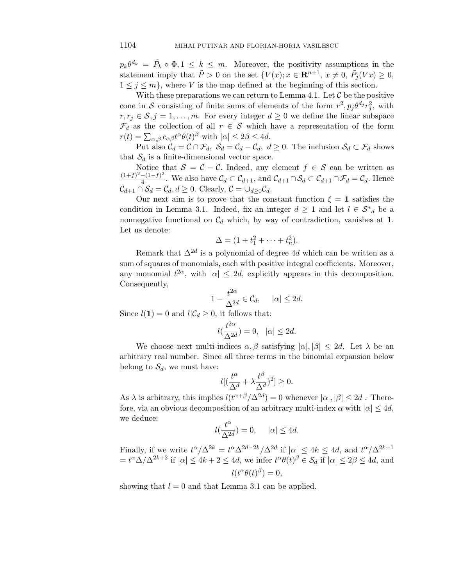$p_k \theta^{d_k} = \tilde{P}_k \circ \Phi, 1 \leq k \leq m$ . Moreover, the positivity assumptions in the statement imply that  $\tilde{P} > 0$  on the set  $\{V(x); x \in \mathbb{R}^{n+1}, x \neq 0, \ \tilde{P}_j(Vx) \geq 0,$  $1 \leq j \leq m$ , where *V* is the map defined at the beginning of this section.

With these preparations we can return to Lemma 4.1. Let  $\mathcal C$  be the positive cone in S consisting of finite sums of elements of the form  $r^2$ ,  $p_j \theta^{d_j} r_j^2$ , with  $r, r_j \in \mathcal{S}, j = 1, \ldots, m$ . For every integer  $d \geq 0$  we define the linear subspace  $\mathcal{F}_d$  as the collection of all  $r \in \mathcal{S}$  which have a representation of the form  $r(t) = \sum_{\alpha,\beta} c_{\alpha\beta} t^{\alpha} \theta(t)^{\beta}$  with  $|\alpha| \leq 2\beta \leq 4d$ .

Put also  $C_d = C \cap \mathcal{F}_d$ ,  $S_d = C_d - C_d$ ,  $d \geq 0$ . The inclusion  $S_d \subset \mathcal{F}_d$  shows that  $S_d$  is a finite-dimensional vector space.

Notice that  $S = C - C$ . Indeed, any element  $f \in S$  can be written as  $\frac{(1+f)^2-(1-f)^2}{4}$ . We also have  $\mathcal{C}_d \subset \mathcal{C}_{d+1}$ , and  $\mathcal{C}_{d+1} \cap \mathcal{S}_d \subset \mathcal{C}_{d+1} \cap \mathcal{F}_d = \mathcal{C}_d$ . Hence  $\mathcal{C}_{d+1} \cap \mathcal{S}_d = \mathcal{C}_d, d \geq 0$ . Clearly,  $\mathcal{C} = \bigcup_{d \geq 0} \mathcal{C}_d$ .

Our next aim is to prove that the constant function  $\xi = 1$  satisfies the condition in Lemma 3.1. Indeed, fix an integer  $d \geq 1$  and let  $l \in S^*_{d}$  be a nonnegative functional on  $C_d$  which, by way of contradiction, vanishes at **1**. Let us denote:

$$
\Delta = (1 + t_1^2 + \dots + t_n^2).
$$

Remark that  $\Delta^{2d}$  is a polynomial of degree 4*d* which can be written as a sum of squares of monomials, each with positive integral coefficients. Moreover, any monomial  $t^{2\alpha}$ , with  $|\alpha| \leq 2d$ , explicitly appears in this decomposition. Consequently,

$$
1 - \frac{t^{2\alpha}}{\Delta^{2d}} \in \mathcal{C}_d, \quad |\alpha| \le 2d.
$$

Since  $l(1) = 0$  and  $l | \mathcal{C}_d \geq 0$ , it follows that:

$$
l(\frac{t^{2\alpha}}{\Delta^{2d}}) = 0, \quad |\alpha| \le 2d.
$$

We choose next multi-indices  $\alpha, \beta$  satisfying  $|\alpha|, |\beta| \leq 2d$ . Let  $\lambda$  be an arbitrary real number. Since all three terms in the binomial expansion below belong to  $S_d$ , we must have:

$$
l[(\frac{t^{\alpha}}{\Delta^{d}} + \lambda \frac{t^{\beta}}{\Delta^{d}})^{2}] \geq 0.
$$

As  $\lambda$  is arbitrary, this implies  $l(t^{\alpha+\beta}/\Delta^{2d}) = 0$  whenever  $|\alpha|, |\beta| \leq 2d$ . Therefore, via an obvious decomposition of an arbitrary multi-index  $\alpha$  with  $|\alpha| \leq 4d$ , we deduce:

$$
l(\frac{t^\alpha}{\Delta^{2d}})=0,\quad \ |\alpha|\leq 4d.
$$

Finally, if we write  $t^{\alpha}/\Delta^{2k} = t^{\alpha}\Delta^{2d-2k}/\Delta^{2d}$  if  $|\alpha| \leq 4k \leq 4d$ , and  $t^{\alpha}/\Delta^{2k+1}$  $= t^{\alpha} \Delta/\Delta^{2k+2}$  if  $|\alpha| \leq 4k + 2 \leq 4d$ , we infer  $t^{\alpha} \theta(t)^{\beta} \in \mathcal{S}_d$  if  $|\alpha| \leq 2\beta \leq 4d$ , and  $l(t^{\alpha} \theta(t)^{\beta}) = 0,$ 

showing that  $l = 0$  and that Lemma 3.1 can be applied.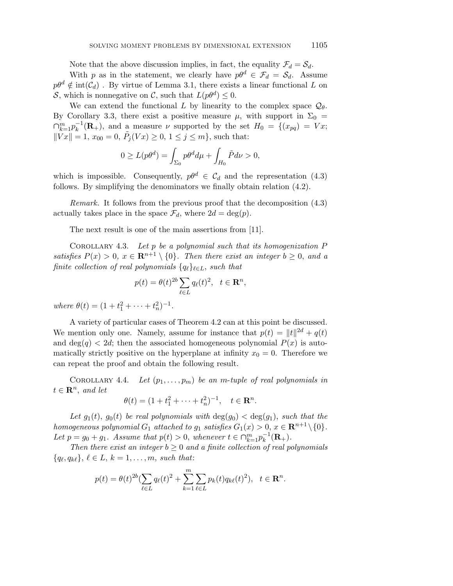Note that the above discussion implies, in fact, the equality  $\mathcal{F}_d = \mathcal{S}_d$ .

With *p* as in the statement, we clearly have  $p\theta^d \in \mathcal{F}_d = \mathcal{S}_d$ . Assume  $p\theta^d \notin \text{int}(\mathcal{C}_d)$ . By virtue of Lemma 3.1, there exists a linear functional *L* on S, which is nonnegative on C, such that  $L(p\theta^d) \leq 0$ .

We can extend the functional *L* by linearity to the complex space  $Q_{\theta}$ . By Corollary 3.3, there exist a positive measure  $\mu$ , with support in  $\Sigma_0 =$  $\bigcap_{k=1}^{m} p_k^{-1}(\mathbf{R}_+)$ , and a measure *ν* supported by the set  $H_0 = \{(x_{pq}) = Vx;$  $\|\tilde{V}x\| = 1, x_{00} = 0, \ \tilde{P}_j(Vx) \geq 0, 1 \leq j \leq m\},\$  such that:

$$
0 \ge L(p\theta^d) = \int_{\Sigma_0} p\theta^d d\mu + \int_{H_0} \tilde{P} d\nu > 0,
$$

which is impossible. Consequently,  $p\theta^d \in C_d$  and the representation (4.3) follows. By simplifying the denominators we finally obtain relation (4.2).

Remark. It follows from the previous proof that the decomposition (4.3) actually takes place in the space  $\mathcal{F}_d$ , where  $2d = \deg(p)$ .

The next result is one of the main assertions from [11].

Corollary 4.3. Let *p* be a polynomial such that its homogenization *P* satisfies  $P(x) > 0$ ,  $x \in \mathbb{R}^{n+1} \setminus \{0\}$ . Then there exist an integer  $b \geq 0$ , and a finite collection of real polynomials  ${q_\ell}_{\ell \in L}$ , such that

$$
p(t) = \theta(t)^{2b} \sum_{\ell \in L} q_{\ell}(t)^2, \quad t \in \mathbf{R}^n,
$$

 $where \ \theta(t) = (1 + t_1^2 + \dots + t_n^2)^{-1}.$ 

A variety of particular cases of Theorem 4.2 can at this point be discussed. We mention only one. Namely, assume for instance that  $p(t) = ||t||^{2d} + q(t)$ and  $\deg(q) < 2d$ ; then the associated homogeneous polynomial  $P(x)$  is automatically strictly positive on the hyperplane at infinity  $x_0 = 0$ . Therefore we can repeat the proof and obtain the following result.

COROLLARY 4.4. Let  $(p_1, \ldots, p_m)$  be an *m*-tuple of real polynomials in  $t \in \mathbb{R}^n$ , and let

$$
\theta(t) = (1 + t_1^2 + \dots + t_n^2)^{-1}, \quad t \in \mathbf{R}^n.
$$

Let  $g_1(t)$ ,  $g_0(t)$  be real polynomials with  $deg(g_0) < deg(g_1)$ , such that the homogeneous polynomial  $G_1$  attached to  $g_1$  satisfies  $G_1(x) > 0$ ,  $x \in \mathbb{R}^{n+1} \setminus \{0\}.$ Let  $p = g_0 + g_1$ . Assume that  $p(t) > 0$ , whenever  $t \in \bigcap_{k=1}^{m} p_k^{-1}(\mathbf{R}_+)$ .

Then there exist an integer  $b \geq 0$  and a finite collection of real polynomials  ${q_{\ell}, q_{k\ell}}$ ,  $\ell \in L, k = 1, \ldots, m$ , such that:

$$
p(t) = \theta(t)^{2b} \left(\sum_{\ell \in L} q_{\ell}(t)^{2} + \sum_{k=1}^{m} \sum_{\ell \in L} p_{k}(t) q_{k\ell}(t)^{2}\right), \quad t \in \mathbf{R}^{n}.
$$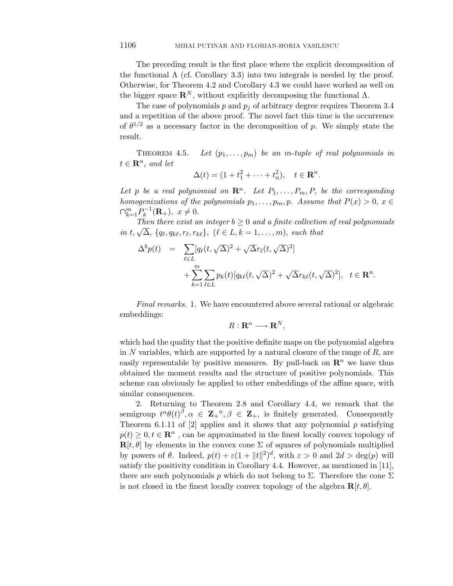The preceding result is the first place where the explicit decomposition of the functional  $\Lambda$  (cf. Corollary 3.3) into two integrals is needed by the proof. Otherwise, for Theorem 4.2 and Corollary 4.3 we could have worked as well on the bigger space  $\mathbb{R}^N$ , without explicitly decomposing the functional  $\Lambda$ .

The case of polynomials  $p$  and  $p_j$  of arbitrary degree requires Theorem 3.4 and a repetition of the above proof. The novel fact this time is the occurrence of  $\theta^{1/2}$  as a necessary factor in the decomposition of *p*. We simply state the result.

THEOREM 4.5. Let  $(p_1, \ldots, p_m)$  be an *m*-tuple of real polynomials in  $t \in \mathbb{R}^n$ , and let

$$
\Delta(t) = (1 + t_1^2 + \dots + t_n^2), \quad t \in \mathbf{R}^n.
$$

Let p be a real polynomial on  $\mathbb{R}^n$ . Let  $P_1, \ldots, P_m, P$ , be the corresponding homogenizations of the polynomials  $p_1, \ldots, p_m, p$ . Assume that  $P(x) > 0, x \in$  $\bigcap_{k=1}^{m} P_k^{-1}(\mathbf{R}_+), x \neq 0.$ 

Then there exist an integer  $b \geq 0$  and a finite collection of real polynomials *in t*,  $\sqrt{\Delta}$ *,* {*q*<sub>*t*</sub>*, q*<sub>*k*</sub>*t, r*<sub>*k*</sub><sup>}</sup>, ( $\ell \in L, k = 1, ..., m$ )*, such that* 

$$
\Delta^b p(t) = \sum_{\ell \in L} [q_\ell(t, \sqrt{\Delta})^2 + \sqrt{\Delta} r_\ell(t, \sqrt{\Delta})^2]
$$
  
+ 
$$
\sum_{k=1}^m \sum_{\ell \in L} p_k(t) [q_{k\ell}(t, \sqrt{\Delta})^2 + \sqrt{\Delta} r_{k\ell}(t, \sqrt{\Delta})^2], \quad t \in \mathbb{R}^n.
$$

Final remarks. 1. We have encountered above several rational or algebraic embeddings:

$$
R:\mathbf{R}^n\longrightarrow \mathbf{R}^N,
$$

which had the quality that the positive definite maps on the polynomial algebra in *N* variables, which are supported by a natural closure of the range of *R*, are easily representable by positive measures. By pull-back on  $\mathbb{R}^n$  we have thus obtained the moment results and the structure of positive polynomials. This scheme can obviously be applied to other embeddings of the affine space, with similar consequences.

2. Returning to Theorem 2.8 and Corollary 4.4, we remark that the semigroup  $t^{\alpha} \theta(t)^{\beta}, \alpha \in \mathbb{Z}_+^n, \beta \in \mathbb{Z}_+$ , is finitely generated. Consequently Theorem 6.1.11 of [2] applies and it shows that any polynomial *p* satisfying  $p(t) \geq 0, t \in \mathbb{R}^n$ , can be approximated in the finest locally convex topology of  $\mathbf{R}[t, \theta]$  by elements in the convex cone  $\Sigma$  of squares of polynomials multiplied by powers of  $\theta$ . Indeed,  $p(t) + \varepsilon (1 + ||t||^2)^d$ , with  $\varepsilon > 0$  and  $2d > \deg(p)$  will satisfy the positivity condition in Corollary 4.4. However, as mentioned in [11], there are such polynomials *p* which do not belong to  $\Sigma$ . Therefore the cone  $\Sigma$ is not closed in the finest locally convex topology of the algebra  $\mathbf{R}[t, \theta]$ .